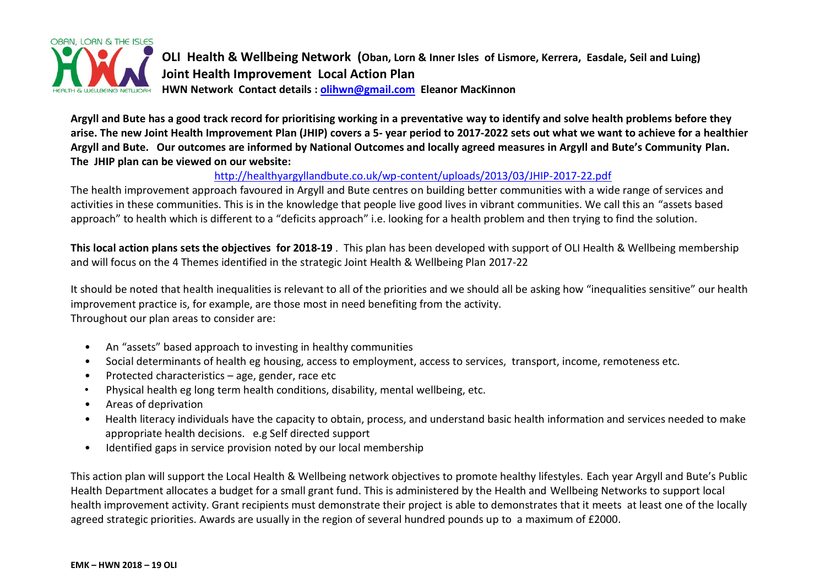

**OLI Health & Wellbeing Network (Oban, Lorn & Inner Isles of Lismore, Kerrera, Easdale, Seil and Luing) Joint Health Improvement Local Action Plan HWN Network Contact details : [olihwn@gmail.com](mailto:olihwn@gmail.com) Eleanor MacKinnon**

**Argyll and Bute has a good track record for prioritising working in a preventative way to identify and solve health problems before they arise. The new Joint Health Improvement Plan (JHIP) covers a 5- year period to 2017-2022 sets out what we want to achieve for a healthier Argyll and Bute. Our outcomes are informed by National Outcomes and locally agreed measures in Argyll and Bute's Community Plan. The JHIP plan can be viewed on our website:**

# <http://healthyargyllandbute.co.uk/wp-content/uploads/2013/03/JHIP-2017-22.pdf>

The health improvement approach favoured in Argyll and Bute centres on building better communities with a wide range of services and activities in these communities. This is in the knowledge that people live good lives in vibrant communities. We call this an "assets based approach" to health which is different to a "deficits approach" i.e. looking for a health problem and then trying to find the solution.

**This local action plans sets the objectives for 2018-19** . This plan has been developed with support of OLI Health & Wellbeing membership and will focus on the 4 Themes identified in the strategic Joint Health & Wellbeing Plan 2017-22

It should be noted that health inequalities is relevant to all of the priorities and we should all be asking how "inequalities sensitive" our health improvement practice is, for example, are those most in need benefiting from the activity. Throughout our plan areas to consider are:

- An "assets" based approach to investing in healthy communities
- Social determinants of health eg housing, access to employment, access to services, transport, income, remoteness etc.
- Protected characteristics age, gender, race etc
- Physical health eg long term health conditions, disability, mental wellbeing, etc.
- Areas of deprivation
- Health literacy individuals have the capacity to obtain, process, and understand basic health information and services needed to make appropriate health decisions. e.g Self directed support
- Identified gaps in service provision noted by our local membership

This action plan will support the Local Health & Wellbeing network objectives to promote healthy lifestyles. Each year Argyll and Bute's Public Health Department allocates a budget for a small grant fund. This is administered by the Health and Wellbeing Networks to support local health improvement activity. Grant recipients must demonstrate their project is able to demonstrates that it meets at least one of the locally agreed strategic priorities. Awards are usually in the region of several hundred pounds up to a maximum of £2000.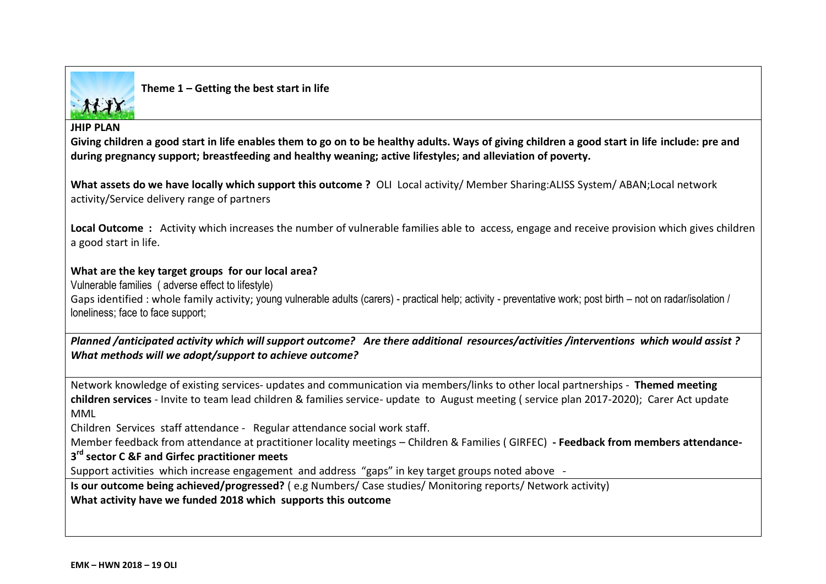

**Theme 1 – Getting the best start in life**

#### **JHIP PLAN**

**Giving children a good start in life enables them to go on to be healthy adults. Ways of giving children a good start in life include: pre and during pregnancy support; breastfeeding and healthy weaning; active lifestyles; and alleviation of poverty.**

**What assets do we have locally which support this outcome ?** OLI Local activity/ Member Sharing:ALISS System/ ABAN;Local network activity/Service delivery range of partners

**Local Outcome :** Activity which increases the number of vulnerable families able to access, engage and receive provision which gives children a good start in life.

## **What are the key target groups for our local area?**

Vulnerable families ( adverse effect to lifestyle)

Gaps identified : whole family activity; young vulnerable adults (carers) - practical help; activity - preventative work; post birth – not on radar/isolation / loneliness; face to face support;

*Planned /anticipated activity which will support outcome? Are there additional resources/activities /interventions which would assist ? What methods will we adopt/support to achieve outcome?* 

Network knowledge of existing services- updates and communication via members/links to other local partnerships - **Themed meeting children services** - Invite to team lead children & families service- update to August meeting ( service plan 2017-2020); Carer Act update MML

Children Services staff attendance - Regular attendance social work staff.

Member feedback from attendance at practitioner locality meetings – Children & Families ( GIRFEC) **- Feedback from members attendance-**

# **3 rd sector C &F and Girfec practitioner meets**

Support activities which increase engagement and address "gaps" in key target groups noted above -

**Is our outcome being achieved/progressed?** ( e.g Numbers/ Case studies/ Monitoring reports/ Network activity) **What activity have we funded 2018 which supports this outcome**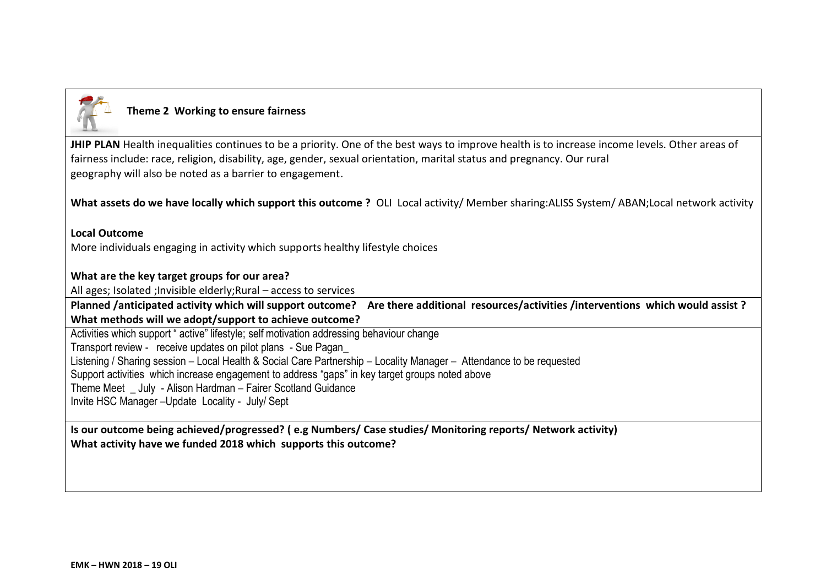

# **Theme 2 Working to ensure fairness**

JHIP PLAN Health inequalities continues to be a priority. One of the best ways to improve health is to increase income levels. Other areas of fairness include: race, religion, disability, age, gender, sexual orientation, marital status and pregnancy. Our rural geography will also be noted as a barrier to engagement.

**What assets do we have locally which support this outcome ?** OLI Local activity/ Member sharing:ALISS System/ ABAN;Local network activity

 **Local Outcome**  More individuals engaging in activity which supports healthy lifestyle choices

## **What are the key target groups for our area?**

All ages; Isolated ;Invisible elderly;Rural – access to services

**Planned /anticipated activity which will support outcome? Are there additional resources/activities /interventions which would assist ? What methods will we adopt/support to achieve outcome?**

Activities which support " active" lifestyle; self motivation addressing behaviour change Transport review - receive updates on pilot plans - Sue Pagan\_ Listening / Sharing session – Local Health & Social Care Partnership – Locality Manager – Attendance to be requested Support activities which increase engagement to address "gaps" in key target groups noted above Theme Meet \_ July - Alison Hardman – Fairer Scotland Guidance Invite HSC Manager –Update Locality - July/ Sept

**Is our outcome being achieved/progressed? ( e.g Numbers/ Case studies/ Monitoring reports/ Network activity) What activity have we funded 2018 which supports this outcome?**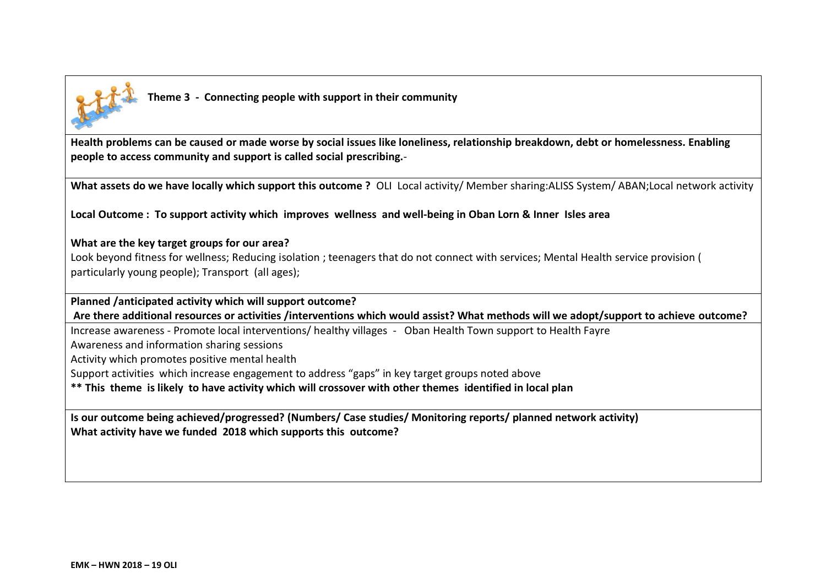

**Health problems can be caused or made worse by social issues like loneliness, relationship breakdown, debt or homelessness. Enabling people to access community and support is called social prescribing.**-

**What assets do we have locally which support this outcome ?** OLI Local activity/ Member sharing:ALISS System/ ABAN;Local network activity

**Local Outcome : To support activity which improves wellness and well-being in Oban Lorn & Inner Isles area**

### **What are the key target groups for our area?**

Look beyond fitness for wellness; Reducing isolation ; teenagers that do not connect with services; Mental Health service provision ( particularly young people); Transport (all ages);

**Planned /anticipated activity which will support outcome?**

**Are there additional resources or activities /interventions which would assist? What methods will we adopt/support to achieve outcome?**

Increase awareness - Promote local interventions/ healthy villages - Oban Health Town support to Health Fayre

Awareness and information sharing sessions

Activity which promotes positive mental health

Support activities which increase engagement to address "gaps" in key target groups noted above

**\*\* This theme is likely to have activity which will crossover with other themes identified in local plan**

**Is our outcome being achieved/progressed? (Numbers/ Case studies/ Monitoring reports/ planned network activity) What activity have we funded 2018 which supports this outcome?**